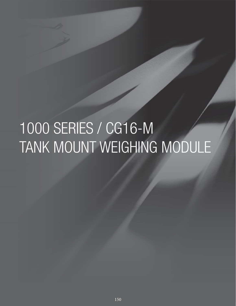# 1000 SERIES / CG16-M TANK MOUNT WEIGHING MODULE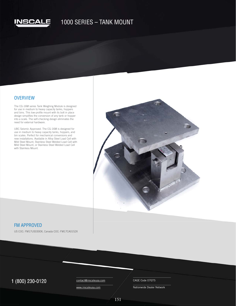

# 1000 SERIES – TANK MOUNT

#### **OVERVIEW**

The CG-16M series Tank Weighing Module is designed for use in medium to heavy capacity tanks, hoppers and bins. This low-profile mount with its bolt in place design simplifies the conversion of any tank or hopper into a scale. The self-checking design eliminates the need for external hardware.

UBC Seismic Approved. The CG-16M is designed for use in medium to heavy capacity tanks, hoppers, and bin scales. Perfect for mechanical conversions and new installations. Available in Alloy Steel Load Cell with Mild Steel Mount, Stainless Steel Welded Load Cell with Mild Steel Mount, or Stainless Steel Welded Load Cell with Stainless Mount.



#### FM APPROVED

US COC: FM17US0300X, Canada COC: FM17CA0152X

 $1 (800) 230 - 0120$  Contact@inscaleusa.com CAGE Code 07GT5

contact@inscaleusa.com

www.inscaleusa.com

Nationwide Dealer Network

151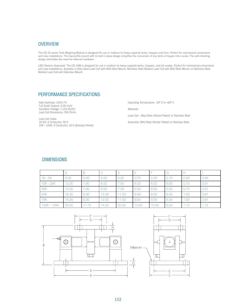### **OVERVIEW**

The CG-16 series Tank Weighing Module is designed for use in medium to heavy capacity tanks, hoppers and bins. Perfect for mechanical conversions and new installations. This low-profile mount with its bolt in place design simplifies the conversion of any tank or hopper into a scale. The self-checking design eliminates the need for external hardware.

UBC Seismic Approved. The CG-16M is designed for use in medium to heavy capacity tanks, hoppers, and bin scales. Perfect for mechanical conversions and new installations. Available in Alloy Steel Load Cell with Mild Steel Mount, Stainless Steel Welded Load Cell with Mild Steel Mount, or Stainless Steel Welded Load Cell with Stainless Mount.

## PERFORMANCE SPECIFICATIONS

Safe Overload: 150% FS Full Scale OutputL 3.00 mv/V Excitation Voltage: 1-15V AC/DC Load Cell Resistance: 700 Ohms

Load Cell Cable 1K-5K: 4 Conductor, 50 ft 10K - 125K: 4 Conductor, 50 ft (Braided Shield) Operating Temperature: -20º C to +60º C

Materials

Load Cell - Alloy Steel (Nickel Plated) or Stainless Steel

Assembly: Mild Steel (Nickel Plated) or Stainless Steel

### DIMENSIONS

|             |       | В     |       |       |       |       | G    |      |      |
|-------------|-------|-------|-------|-------|-------|-------|------|------|------|
| $1K - 5K$   | 9.25  | 5.00  | 5.00  | 6.25  | 3.75  | 4.00  | 2.75 | 0.50 | 0.56 |
| $10K - 25K$ | 12.00 | 7.90  | 8.00  | 7.50  | 6.00  | 8.00  | 6.00 | 0.75 | 0.81 |
| 35K         | 12.00 | 7.90  | 8.00  | 7.50  | 6.00  | 8.00  | 6.00 | 0.75 | 0.81 |
| <b>50K</b>  | 16.25 | 9.30  | 12.00 | 11.50 | 9.50  | 9.00  | 6.50 | 1.00 | 0.81 |
| 75K         | 16.25 | 9.30  | 12.00 | 11.50 | 9.50  | 9.00  | 6.50 | 1.00 | 0.81 |
| 100K - 125K | 23.50 | 11.75 | 14.00 | 20.00 | 12.00 | 10.00 | 8.00 | 1.12 | 1.12 |